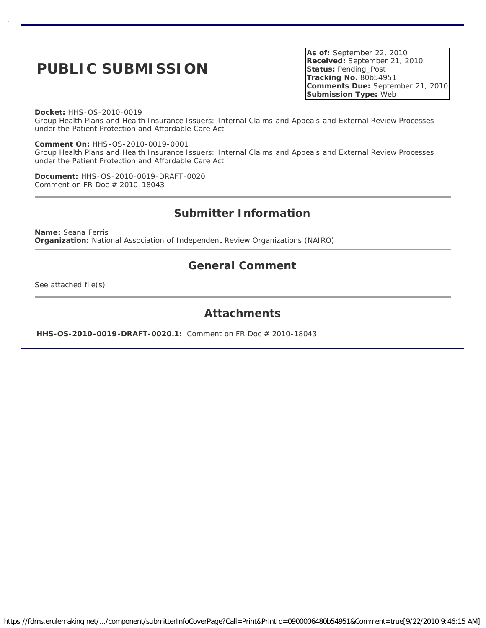# **PUBLIC SUBMISSION**

**As of:** September 22, 2010 **Received:** September 21, 2010 **Status:** Pending\_Post **Tracking No.** 80b54951 **Comments Due:** September 21, 2010 **Submission Type:** Web

**Docket:** HHS-OS-2010-0019

Group Health Plans and Health Insurance Issuers: Internal Claims and Appeals and External Review Processes under the Patient Protection and Affordable Care Act

**Comment On:** HHS-OS-2010-0019-0001 Group Health Plans and Health Insurance Issuers: Internal Claims and Appeals and External Review Processes under the Patient Protection and Affordable Care Act

**Document:** HHS-OS-2010-0019-DRAFT-0020 Comment on FR Doc # 2010-18043

# **Submitter Information**

**Name:** Seana Ferris **Organization:** National Association of Independent Review Organizations (NAIRO)

### **General Comment**

See attached file(s)

### **Attachments**

**HHS-OS-2010-0019-DRAFT-0020.1:** Comment on FR Doc # 2010-18043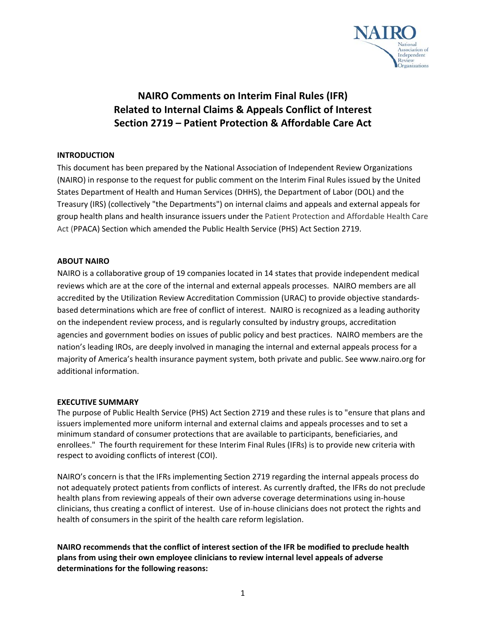

# **NAIRO Comments on Interim Final Rules (IFR) Related to Internal Claims & Appeals Conflict of Interest Section 2719 – Patient Protection & Affordable Care Act**

#### **INTRODUCTION**

This document has been prepared by the National Association of Independent Review Organizations (NAIRO) in response to the request for public comment on the Interim Final Rules issued by the United States Department of Health and Human Services (DHHS), the Department of Labor (DOL) and the Treasury (IRS) (collectively "the Departments") on internal claims and appeals and external appeals for group health plans and health insurance issuers under the Patient Protection and Affordable Health Care Act (PPACA) Section which amended the Public Health Service (PHS) Act Section 2719.

#### **ABOUT NAIRO**

NAIRO is a collaborative group of 19 companies located in 14 states that provide independent medical reviews which are at the core of the internal and external appeals processes. NAIRO members are all accredited by the Utilization Review Accreditation Commission (URAC) to provide objective standards‐ based determinations which are free of conflict of interest. NAIRO is recognized as a leading authority on the independent review process, and is regularly consulted by industry groups, accreditation agencies and government bodies on issues of public policy and best practices. NAIRO members are the nation's leading IROs, are deeply involved in managing the internal and external appeals process for a majority of America's health insurance payment system, both private and public. See www.nairo.org for additional information.

#### **EXECUTIVE SUMMARY**

The purpose of Public Health Service (PHS) Act Section 2719 and these rules is to "ensure that plans and issuers implemented more uniform internal and external claims and appeals processes and to set a minimum standard of consumer protections that are available to participants, beneficiaries, and enrollees." The fourth requirement for these Interim Final Rules (IFRs) is to provide new criteria with respect to avoiding conflicts of interest (COI).

NAIRO's concern is that the IFRs implementing Section 2719 regarding the internal appeals process do not adequately protect patients from conflicts of interest. As currently drafted, the IFRs do not preclude health plans from reviewing appeals of their own adverse coverage determinations using in‐house clinicians, thus creating a conflict of interest. Use of in‐house clinicians does not protect the rights and health of consumers in the spirit of the health care reform legislation.

**NAIRO recommends that the conflict of interest section of the IFR be modified to preclude health plans from using their own employee clinicians to review internal level appeals of adverse determinations for the following reasons:**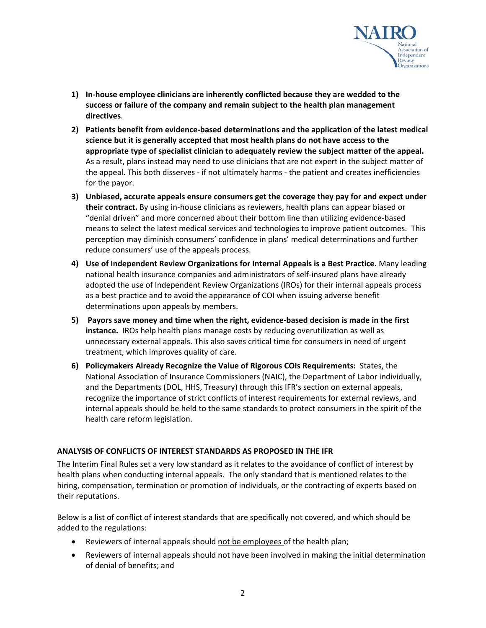

- **1) In‐house employee clinicians are inherently conflicted because they are wedded to the success or failure of the company and remain subject to the health plan management directives**.
- **2) Patients benefit from evidence‐based determinations and the application of the latest medical science but it is generally accepted that most health plans do not have access to the appropriate type of specialist clinician to adequately review the subject matter of the appeal.** As a result, plans instead may need to use clinicians that are not expert in the subject matter of the appeal. This both disserves ‐ if not ultimately harms ‐ the patient and creates inefficiencies for the payor.
- **3) Unbiased, accurate appeals ensure consumers get the coverage they pay for and expect under their contract.** By using in‐house clinicians as reviewers, health plans can appear biased or "denial driven" and more concerned about their bottom line than utilizing evidence‐based means to select the latest medical services and technologies to improve patient outcomes. This perception may diminish consumers' confidence in plans' medical determinations and further reduce consumers' use of the appeals process.
- **4) Use of Independent Review Organizations for Internal Appeals is a Best Practice.** Many leading national health insurance companies and administrators of self‐insured plans have already adopted the use of Independent Review Organizations (IROs) for their internal appeals process as a best practice and to avoid the appearance of COI when issuing adverse benefit determinations upon appeals by members.
- **5) Payors save money and time when the right, evidence‐based decision is made in the first instance.** IROs help health plans manage costs by reducing overutilization as well as unnecessary external appeals. This also saves critical time for consumers in need of urgent treatment, which improves quality of care.
- **6) Policymakers Already Recognize the Value of Rigorous COIs Requirements:** States, the National Association of Insurance Commissioners (NAIC), the Department of Labor individually, and the Departments (DOL, HHS, Treasury) through this IFR's section on external appeals, recognize the importance of strict conflicts of interest requirements for external reviews, and internal appeals should be held to the same standards to protect consumers in the spirit of the health care reform legislation.

#### **ANALYSIS OF CONFLICTS OF INTEREST STANDARDS AS PROPOSED IN THE IFR**

The Interim Final Rules set a very low standard as it relates to the avoidance of conflict of interest by health plans when conducting internal appeals. The only standard that is mentioned relates to the hiring, compensation, termination or promotion of individuals, or the contracting of experts based on their reputations.

Below is a list of conflict of interest standards that are specifically not covered, and which should be added to the regulations:

- Reviewers of internal appeals should not be employees of the health plan;
- Reviewers of internal appeals should not have been involved in making the initial determination of denial of benefits; and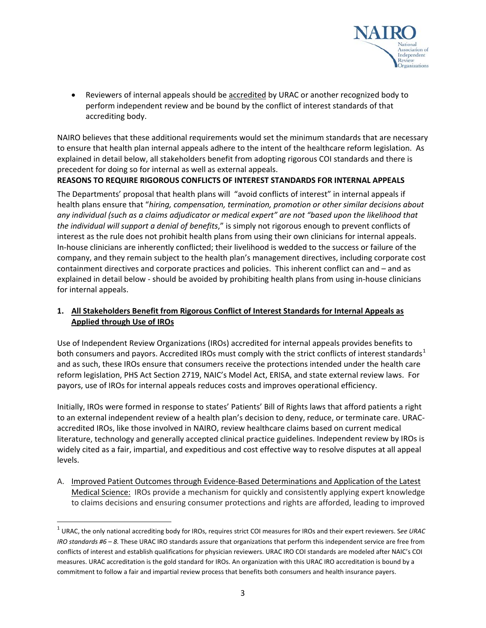

 Reviewers of internal appeals should be accredited by URAC or another recognized body to perform independent review and be bound by the conflict of interest standards of that accrediting body.

NAIRO believes that these additional requirements would set the minimum standards that are necessary to ensure that health plan internal appeals adhere to the intent of the healthcare reform legislation. As explained in detail below, all stakeholders benefit from adopting rigorous COI standards and there is precedent for doing so for internal as well as external appeals.

#### **REASONS TO REQUIRE RIGOROUS CONFLICTS OF INTEREST STANDARDS FOR INTERNAL APPEALS**

The Departments' proposal that health plans will "avoid conflicts of interest" in internal appeals if health plans ensure that "*hiring, compensation, termination, promotion or other similar decisions about any individual (such as a claims adjudicator or medical expert" are not "based upon the likelihood that the individual will support a denial of benefits*," is simply not rigorous enough to prevent conflicts of interest as the rule does not prohibit health plans from using their own clinicians for internal appeals. In‐house clinicians are inherently conflicted; their livelihood is wedded to the success or failure of the company, and they remain subject to the health plan's management directives, including corporate cost containment directives and corporate practices and policies. This inherent conflict can and – and as explained in detail below ‐ should be avoided by prohibiting health plans from using in‐house clinicians for internal appeals.

#### **1. All Stakeholders Benefit from Rigorous Conflict of Interest Standards for Internal Appeals as Applied through Use of IROs**

Use of Independent Review Organizations (IROs) accredited for internal appeals provides benefits to both consumers and payors. Accredited IROs must comply with the strict conflicts of interest standards<sup>[1](#page-3-0)</sup> and as such, these IROs ensure that consumers receive the protections intended under the health care reform legislation, PHS Act Section 2719, NAIC's Model Act, ERISA, and state external review laws. For payors, use of IROs for internal appeals reduces costs and improves operational efficiency.

Initially, IROs were formed in response to states' Patients' Bill of Rights laws that afford patients a right to an external independent review of a health plan's decision to deny, reduce, or terminate care. URAC‐ accredited IROs, like those involved in NAIRO, review healthcare claims based on current medical literature, technology and generally accepted clinical practice guidelines. Independent review by IROs is widely cited as a fair, impartial, and expeditious and cost effective way to resolve disputes at all appeal levels.

A. Improved Patient Outcomes through Evidence‐Based Determinations and Application of the Latest Medical Science: IROs provide a mechanism for quickly and consistently applying expert knowledge to claims decisions and ensuring consumer protections and rights are afforded, leading to improved

<span id="page-3-0"></span><sup>1</sup> URAC, the only national accrediting body for IROs, requires strict COI measures for IROs and their expert reviewers. S*ee URAC IRO standards #6 – 8.* These URAC IRO standards assure that organizations that perform this independent service are free from conflicts of interest and establish qualifications for physician reviewers. URAC IRO COI standards are modeled after NAIC's COI measures. URAC accreditation is the gold standard for IROs. An organization with this URAC IRO accreditation is bound by a commitment to follow a fair and impartial review process that benefits both consumers and health insurance payers.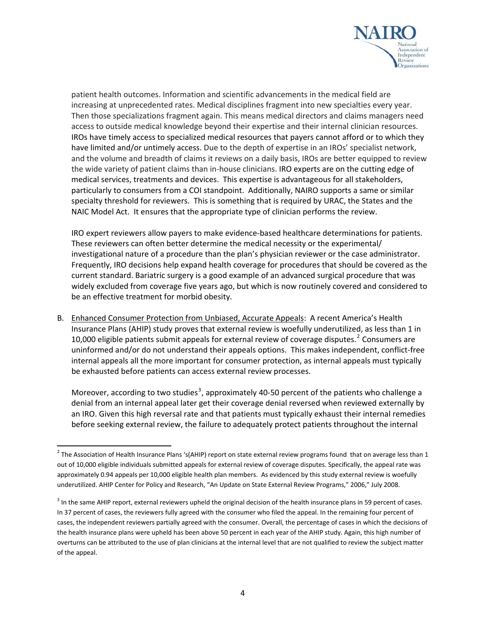

patient health outcomes. Information and scientific advancements in the medical field are increasing at unprecedented rates. Medical disciplines fragment into new specialties every year. Then those specializations fragment again. This means medical directors and claims managers need access to outside medical knowledge beyond their expertise and their internal clinician resources. IROs have timely access to specialized medical resources that payers cannot afford or to which they have limited and/or untimely access. Due to the depth of expertise in an IROs' specialist network, and the volume and breadth of claims it reviews on a daily basis, IROs are better equipped to review the wide variety of patient claims than in‐house clinicians. IRO experts are on the cutting edge of medical services, treatments and devices. This expertise is advantageous for all stakeholders, particularly to consumers from a COI standpoint. Additionally, NAIRO supports a same or similar specialty threshold for reviewers. This is something that is required by URAC, the States and the NAIC Model Act. It ensures that the appropriate type of clinician performs the review.

IRO expert reviewers allow payers to make evidence‐based healthcare determinations for patients. These reviewers can often better determine the medical necessity or the experimental/ investigational nature of a procedure than the plan's physician reviewer or the case administrator. Frequently, IRO decisions help expand health coverage for procedures that should be covered as the current standard. Bariatric surgery is a good example of an advanced surgical procedure that was widely excluded from coverage five years ago, but which is now routinely covered and considered to be an effective treatment for morbid obesity.

B. Enhanced Consumer Protection from Unbiased, Accurate Appeals: A recent America's Health Insurance Plans (AHIP) study proves that external review is woefully underutilized, as less than 1 in 10,000 eligible patients submit appeals for external review of coverage disputes.<sup>[2](#page-4-0)</sup> Consumers are uninformed and/or do not understand their appeals options. This makes independent, conflict‐free internal appeals all the more important for consumer protection, as internal appeals must typically be exhausted before patients can access external review processes.

Moreover, according to two studies<sup>[3](#page-4-1)</sup>, approximately 40-50 percent of the patients who challenge a denial from an internal appeal later get their coverage denial reversed when reviewed externally by an IRO. Given this high reversal rate and that patients must typically exhaust their internal remedies before seeking external review, the failure to adequately protect patients throughout the internal

<span id="page-4-0"></span>  $^2$  The Association of Health Insurance Plans 's(AHIP) report on state external review programs found that on average less than 1 out of 10,000 eligible individuals submitted appeals for external review of coverage disputes. Specifically, the appeal rate was approximately 0.94 appeals per 10,000 eligible health plan members. As evidenced by this study external review is woefully underutilized. AHIP Center for Policy and Research, "An Update on State External Review Programs," 2006," July 2008.

<span id="page-4-1"></span><sup>&</sup>lt;sup>3</sup> In the same AHIP report, external reviewers upheld the original decision of the health insurance plans in 59 percent of cases. In 37 percent of cases, the reviewers fully agreed with the consumer who filed the appeal. In the remaining four percent of cases, the independent reviewers partially agreed with the consumer. Overall, the percentage of cases in which the decisions of the health insurance plans were upheld has been above 50 percent in each year of the AHIP study. Again, this high number of overturns can be attributed to the use of plan clinicians at the internal level that are not qualified to review the subject matter of the appeal.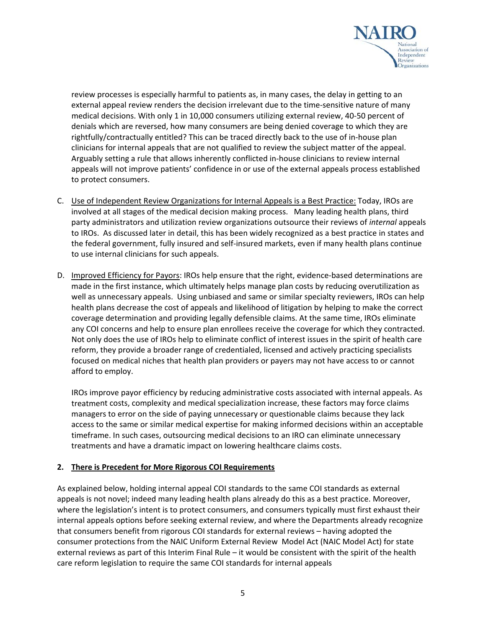

review processes is especially harmful to patients as, in many cases, the delay in getting to an external appeal review renders the decision irrelevant due to the time-sensitive nature of many medical decisions. With only 1 in 10,000 consumers utilizing external review, 40‐50 percent of denials which are reversed, how many consumers are being denied coverage to which they are rightfully/contractually entitled? This can be traced directly back to the use of in‐house plan clinicians for internal appeals that are not qualified to review the subject matter of the appeal. Arguably setting a rule that allows inherently conflicted in‐house clinicians to review internal appeals will not improve patients' confidence in or use of the external appeals process established to protect consumers.

- C. Use of Independent Review Organizations for Internal Appeals is a Best Practice: Today, IROs are involved at all stages of the medical decision making process. Many leading health plans, third party administrators and utilization review organizations outsource their reviews of *internal* appeals to IROs. As discussed later in detail, this has been widely recognized as a best practice in states and the federal government, fully insured and self‐insured markets, even if many health plans continue to use internal clinicians for such appeals.
- D. Improved Efficiency for Payors: IROs help ensure that the right, evidence‐based determinations are made in the first instance, which ultimately helps manage plan costs by reducing overutilization as well as unnecessary appeals. Using unbiased and same or similar specialty reviewers, IROs can help health plans decrease the cost of appeals and likelihood of litigation by helping to make the correct coverage determination and providing legally defensible claims. At the same time, IROs eliminate any COI concerns and help to ensure plan enrollees receive the coverage for which they contracted. Not only does the use of IROs help to eliminate conflict of interest issues in the spirit of health care reform, they provide a broader range of credentialed, licensed and actively practicing specialists focused on medical niches that health plan providers or payers may not have access to or cannot afford to employ.

IROs improve payor efficiency by reducing administrative costs associated with internal appeals. As treatment costs, complexity and medical specialization increase, these factors may force claims managers to error on the side of paying unnecessary or questionable claims because they lack access to the same or similar medical expertise for making informed decisions within an acceptable timeframe. In such cases, outsourcing medical decisions to an IRO can eliminate unnecessary treatments and have a dramatic impact on lowering healthcare claims costs.

#### **2. There is Precedent for More Rigorous COI Requirements**

As explained below, holding internal appeal COI standards to the same COI standards as external appeals is not novel; indeed many leading health plans already do this as a best practice. Moreover, where the legislation's intent is to protect consumers, and consumers typically must first exhaust their internal appeals options before seeking external review, and where the Departments already recognize that consumers benefit from rigorous COI standards for external reviews – having adopted the consumer protections from the NAIC Uniform External Review Model Act (NAIC Model Act) for state external reviews as part of this Interim Final Rule – it would be consistent with the spirit of the health care reform legislation to require the same COI standards for internal appeals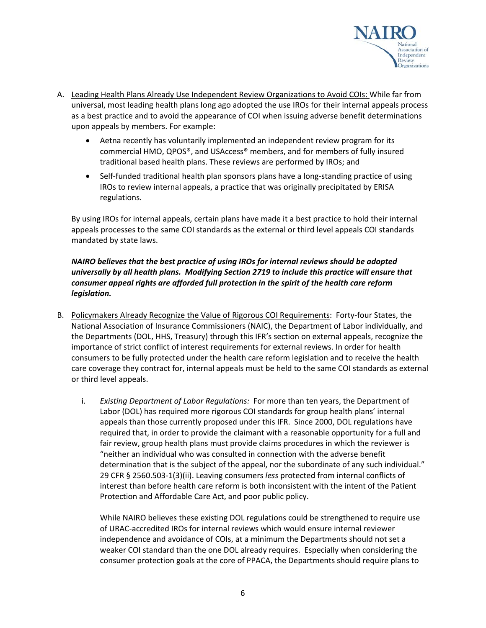

- A. Leading Health Plans Already Use Independent Review Organizations to Avoid COIs: While far from universal, most leading health plans long ago adopted the use IROs for their internal appeals process as a best practice and to avoid the appearance of COI when issuing adverse benefit determinations upon appeals by members. For example:
	- Aetna recently has voluntarily implemented an independent review program for its commercial HMO, QPOS®, and USAccess® members, and for members of fully insured traditional based health plans. These reviews are performed by IROs; and
	- Self-funded traditional health plan sponsors plans have a long-standing practice of using IROs to review internal appeals, a practice that was originally precipitated by ERISA regulations.

By using IROs for internal appeals, certain plans have made it a best practice to hold their internal appeals processes to the same COI standards as the external or third level appeals COI standards mandated by state laws.

#### *NAIRO believes that the best practice of using IROs for internal reviews should be adopted universally by all health plans. Modifying Section 2719 to include this practice will ensure that consumer appeal rights are afforded full protection in the spirit of the health care reform legislation.*

- B. Policymakers Already Recognize the Value of Rigorous COI Requirements: Forty-four States, the National Association of Insurance Commissioners (NAIC), the Department of Labor individually, and the Departments (DOL, HHS, Treasury) through this IFR's section on external appeals, recognize the importance of strict conflict of interest requirements for external reviews. In order for health consumers to be fully protected under the health care reform legislation and to receive the health care coverage they contract for, internal appeals must be held to the same COI standards as external or third level appeals.
	- i. *Existing Department of Labor Regulations:* For more than ten years, the Department of Labor (DOL) has required more rigorous COI standards for group health plans' internal appeals than those currently proposed under this IFR. Since 2000, DOL regulations have required that, in order to provide the claimant with a reasonable opportunity for a full and fair review, group health plans must provide claims procedures in which the reviewer is "neither an individual who was consulted in connection with the adverse benefit determination that is the subject of the appeal, nor the subordinate of any such individual." 29 CFR § 2560.503‐1(3)(ii). Leaving consumers *less* protected from internal conflicts of interest than before health care reform is both inconsistent with the intent of the Patient Protection and Affordable Care Act, and poor public policy.

While NAIRO believes these existing DOL regulations could be strengthened to require use of URAC‐accredited IROs for internal reviews which would ensure internal reviewer independence and avoidance of COIs, at a minimum the Departments should not set a weaker COI standard than the one DOL already requires. Especially when considering the consumer protection goals at the core of PPACA, the Departments should require plans to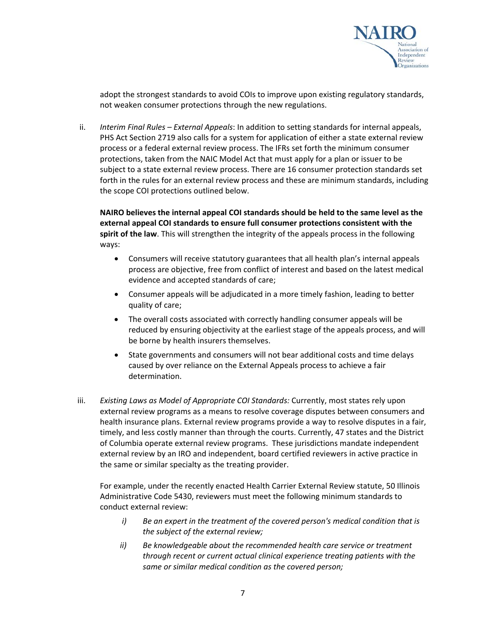

adopt the strongest standards to avoid COIs to improve upon existing regulatory standards, not weaken consumer protections through the new regulations.

ii. *Interim Final Rules – External Appeals*: In addition to setting standards for internal appeals, PHS Act Section 2719 also calls for a system for application of either a state external review process or a federal external review process. The IFRs set forth the minimum consumer protections, taken from the NAIC Model Act that must apply for a plan or issuer to be subject to a state external review process. There are 16 consumer protection standards set forth in the rules for an external review process and these are minimum standards, including the scope COI protections outlined below.

**NAIRO believes the internal appeal COI standards should be held to the same level as the external appeal COI standards to ensure full consumer protections consistent with the spirit of the law**. This will strengthen the integrity of the appeals process in the following ways:

- Consumers will receive statutory guarantees that all health plan's internal appeals process are objective, free from conflict of interest and based on the latest medical evidence and accepted standards of care;
- Consumer appeals will be adjudicated in a more timely fashion, leading to better quality of care;
- The overall costs associated with correctly handling consumer appeals will be reduced by ensuring objectivity at the earliest stage of the appeals process, and will be borne by health insurers themselves.
- State governments and consumers will not bear additional costs and time delays caused by over reliance on the External Appeals process to achieve a fair determination.
- iii. *Existing Laws as Model of Appropriate COI Standards:* Currently, most states rely upon external review programs as a means to resolve coverage disputes between consumers and health insurance plans. External review programs provide a way to resolve disputes in a fair, timely, and less costly manner than through the courts. Currently, 47 states and the District of Columbia operate external review programs. These jurisdictions mandate independent external review by an IRO and independent, board certified reviewers in active practice in the same or similar specialty as the treating provider.

For example, under the recently enacted Health Carrier External Review statute, 50 Illinois Administrative Code 5430, reviewers must meet the following minimum standards to conduct external review:

- *i) Be an expert in the treatment of the covered person's medical condition that is the subject of the external review;*
- *ii) Be knowledgeable about the recommended health care service or treatment through recent or current actual clinical experience treating patients with the same or similar medical condition as the covered person;*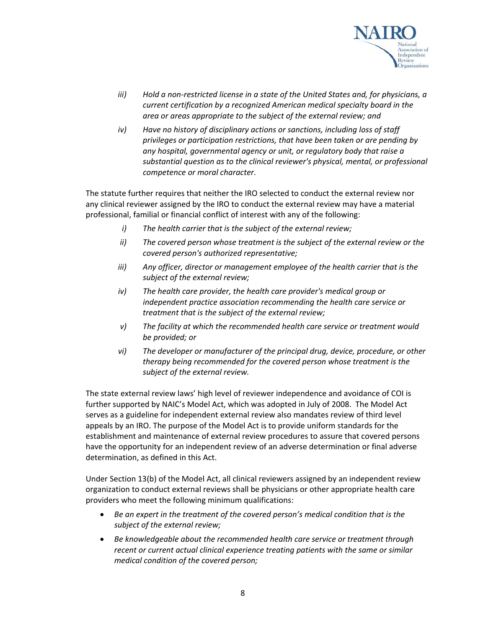

- *iii) Hold a non‐restricted license in a state of the United States and, for physicians, a current certification by a recognized American medical specialty board in the area or areas appropriate to the subject of the external review; and*
- *iv) Have no history of disciplinary actions or sanctions, including loss of staff privileges or participation restrictions, that have been taken or are pending by any hospital, governmental agency or unit, or regulatory body that raise a substantial question as to the clinical reviewer's physical, mental, or professional competence or moral character.*

The statute further requires that neither the IRO selected to conduct the external review nor any clinical reviewer assigned by the IRO to conduct the external review may have a material professional, familial or financial conflict of interest with any of the following:

- *i) The health carrier that is the subject of the external review;*
- *ii) The covered person whose treatment is the subject of the external review or the covered person's authorized representative;*
- *iii) Any officer, director or management employee of the health carrier that is the subject of the external review;*
- *iv) The health care provider, the health care provider's medical group or independent practice association recommending the health care service or treatment that is the subject of the external review;*
- *v) The facility at which the recommended health care service or treatment would be provided; or*
- *vi) The developer or manufacturer of the principal drug, device, procedure, or other therapy being recommended for the covered person whose treatment is the subject of the external review.*

The state external review laws' high level of reviewer independence and avoidance of COI is further supported by NAIC's Model Act, which was adopted in July of 2008. The Model Act serves as a guideline for independent external review also mandates review of third level appeals by an IRO. The purpose of the Model Act is to provide uniform standards for the establishment and maintenance of external review procedures to assure that covered persons have the opportunity for an independent review of an adverse determination or final adverse determination, as defined in this Act.

Under Section 13(b) of the Model Act, all clinical reviewers assigned by an independent review organization to conduct external reviews shall be physicians or other appropriate health care providers who meet the following minimum qualifications:

- *Be an expert in the treatment of the covered person's medical condition that is the subject of the external review;*
- *Be knowledgeable about the recommended health care service or treatment through recent or current actual clinical experience treating patients with the same or similar medical condition of the covered person;*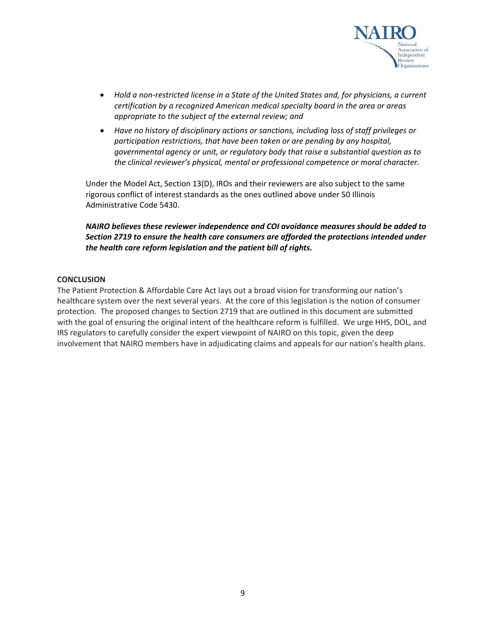

- *Hold a non‐restricted license in a State of the United States and, for physicians, a current certification by a recognized American medical specialty board in the area or areas appropriate to the subject of the external review; and*
- *Have no history of disciplinary actions or sanctions, including loss of staff privileges or participation restrictions, that have been taken or are pending by any hospital, governmental agency or unit, or regulatory body that raise a substantial question as to the clinical reviewer's physical, mental or professional competence or moral character.*

Under the Model Act, Section 13(D), IROs and their reviewers are also subject to the same rigorous conflict of interest standards as the ones outlined above under 50 Illinois Administrative Code 5430.

*NAIRO believes these reviewer independence and COI avoidance measures should be added to Section 2719 to ensure the health care consumers are afforded the protections intended under the health care reform legislation and the patient bill of rights.*

#### **CONCLUSION**

The Patient Protection & Affordable Care Act lays out a broad vision for transforming our nation's healthcare system over the next several years. At the core of this legislation is the notion of consumer protection. The proposed changes to Section 2719 that are outlined in this document are submitted with the goal of ensuring the original intent of the healthcare reform is fulfilled. We urge HHS, DOL, and IRS regulators to carefully consider the expert viewpoint of NAIRO on this topic, given the deep involvement that NAIRO members have in adjudicating claims and appeals for our nation's health plans.